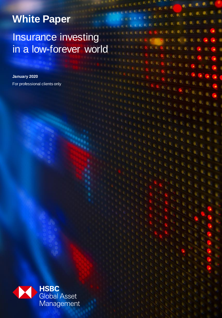# **White Paper**

### Insurance investing in a low-forever world

a.

ø ø

e.

 $\bullet$ .  $\bullet$ 

 $\bullet$  $\bullet$ 

 $\bullet$  $\alpha$ 

**January 2020** For professional clients only

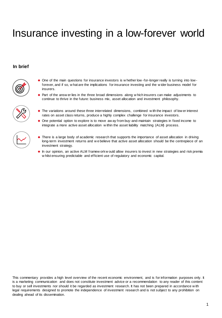# Insurance investing in a low-forever world

#### **In brief**



- One of the main questions for insurance investors is w hether low -for-longer really is turning into low forever, and if so, w hat are the implications for insurance investing and the w ider business model for insurers.
	- Part of the answ er lies in the three broad dimensions along w hich insurers can make adjustments to continue to thrive in the future: business mix, asset allocation and investment philosophy.



- The variations around these three interrelated dimensions, combined w ith the impact of low er interest rates on asset class returns, produce a highly complex challenge for insurance investors.
- One potential option to explore is to move aw ay from buy-and-maintain strategies in fixed income to integrate a more active asset allocation w ithin the asset liability matching (ALM) process.
- There is a large body of academic research that supports the importance of asset allocation in driving long-term investment returns and w e believe that active asset allocation should be the centrepiece of an investment strategy.
- $\bullet$  In our opinion, an active ALM framew ork w ould allow insurers to invest in new strategies and risk premia w hilst ensuring predictable and efficient use of regulatory and economic capital.

This commentary provides a high level overview of the recent economic environment, and is for information purposes only. It is a marketing communication and does not constitute investment advice or a recommendation to any reader of this content to buy or sell investments nor should it be regarded as investment research. It has not been prepared in accordance w ith legal requirements designed to promote the independence of investment research and is not subject to any prohibition on dealing ahead of its dissemination.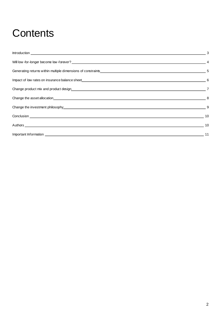# **Contents**

|                                                                                                                                                                                                                                | $\overline{\phantom{1}}$ 3 |
|--------------------------------------------------------------------------------------------------------------------------------------------------------------------------------------------------------------------------------|----------------------------|
|                                                                                                                                                                                                                                |                            |
| Generating returns within multiple dimensions of constraints example of the constraints of the constraints of the constraints of the constraints of the constraints of the constraints of the constraints of the constraints o |                            |
|                                                                                                                                                                                                                                |                            |
|                                                                                                                                                                                                                                |                            |
|                                                                                                                                                                                                                                |                            |
|                                                                                                                                                                                                                                |                            |
|                                                                                                                                                                                                                                |                            |
|                                                                                                                                                                                                                                |                            |
|                                                                                                                                                                                                                                |                            |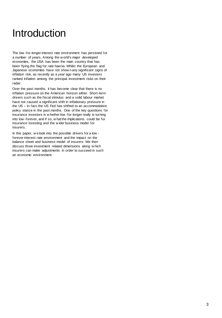## Introduction

The low -for-longer interest rate environment has persisted for a number of years. Among the w orld's major developed economies, the USA has been the main country that has been flying the flag for rate haw ks. Whilst the European and Japanese economies have not show n any significant signs of inflation risk, as recently as a year ago many US investors ranked inflation among the principal investment risks on their radar.

Over the past months, it has become clear that there is no inflation pressure on the American horizon either. Short-term drivers such as the fiscal stimulus and a solid labour market have not caused a significant shift in inflationary pressure in the US – in fact, the US Fed has shifted to an accommodative policy stance in the past months. One of the key questions for insurance investors is w hether low -for-longer really is turning into low -forever, and if so, w hat the implications could be for insurance investing and the w ider business model for insurers.

In this paper, w e look into the possible drivers for a low forever interest rate environment and the impact on the balance sheet and business model of insurers. We then discuss three investment related dimensions along w hich insurers can make adjustments in order to succeed in such an economic environment.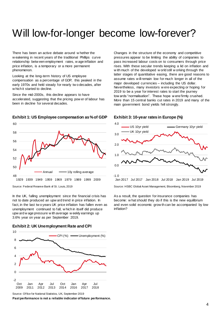# Will low-for-longer become low-forever?

-1.0

There has been an active debate around w hether the w eakening in recent years of the traditional Phillips curve relationship betw een employment rates, w age inflation and price inflation, is a temporary or a more permanent phenomenon.

Looking at the long-term history of US employee compensation as a percentage of GDP, this peaked in the early 1970s and held steady for nearly tw o decades, after w hich it started to decline.

Since the mid-2000s, this decline appears to have accelerated, suggesting that the pricing pow er of labour has been in decline for several decades.



#### **Exhibit 1: US Employee compensation as % of GDP**

Source: Federal Reserve Bank of St. Louis, 2019

In the UK, falling unemployment since the financial crisis has not to date produced an upw ard trend in price inflation. In fact, in the last tw o years UK price inflation has fallen even as unemployment continued to fall, w hich in itself did produce upw ard w age pressure w ith average w eekly earnings up 3.6% year on year as per September 2019.

#### **Exhibit 2: UK Unemployment Rate and CPI**



Changes in the structure of the economy and competitive pressures appear to be limiting the ability of companies to pass increased labour costs on to consumers through price rises. With these secular trends keeping a lid on inflation and w ith much of the developed w orld still w orking through the latter stages of quantitative easing, there are good reasons to assume rates w ill remain low for much longer in all of the major developed currencies – including the US dollar. Nevertheless, many investors w ere expecting or hoping for 2019 to be a year for interest rates to start the journey tow ards "normalisation". These hope w ere firmly crushed. More than 15 central banks cut rates in 2019 and many of the main government bond yields fell strongly.



#### **Exhibit 3: 10-year rates in Europe (%)**

Source: HSBC Global Asset Management, Bloomberg, November 2019 Jan 2017 Jul 2017 Jan 2018 Jul 2018 Jan 2019 Jul 2019

As a result, the question for insurance companies has become: w hat should they do if this is the new equilibrium and even solid economic grow th can be accompanied by low inflation?

Source: Of fice for National Statistics, UK, September 2019

**Past performance is not a reliable indicator of future performance.**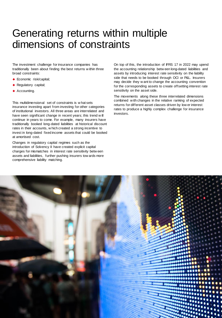### Generating returns within multiple dimensions of constraints

The investment challenge for insurance companies has traditionally been about finding the best returns w ithin three broad constraints:

- ◆ Economic risk/capital;
- ◆ Regulatory capital;
- ◆ Accounting.

This multidimensional set of constraints is w hat sets insurance investing apart from investing for other categories of institutional investors. All three areas are interrelated and have seen significant change in recent years; this trend w ill continue in years to come. For example, many insurers have traditionally booked long-dated liabilities at historical discount rates in their accounts, w hich created a strong incentive to invest in long-dated fixed income assets that could be booked at amortised cost.

Changes in regulatory capital regimes such as the introduction of Solvency II have created explicit capital charges for mismatches in interest rate sensitivity betw een assets and liabilities, further pushing insurers tow ards more comprehensive liability matching.

On top of this, the introduction of IFRS 17 in 2022 may upend the accounting relationship betw een long-dated liabilities and assets by introducing interest rate sensitivity on the liability side that needs to be booked through OCI or P&L. Insurers may decide they w ant to change the accounting convention for the corresponding assets to create offsetting interest rate sensitivity on the asset side.

The movements along these three interrelated dimensions combined w ith changes in the relative ranking of expected returns for different asset classes driven by low er interest rates to produce a highly complex challenge for insurance investors.

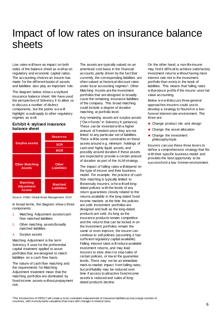### Impact of low rates on insurance balance sheets

Low rates w ill have an impact on both sides of the balance sheet as w ell as on regulatory and economic capital ratios. The accounting choices an insurer has made for the different books of assets and liabilities also play an important role.

The diagram below show s a stylised insurance balance sheet. We have used the perspective of Solvency II to allow us to discuss a number of distinct components, but the points w e w ill highlight w ould apply to other regulatory regimes as w ell.

#### **Exhibit 4: stylised insurance balance sheet**



Source: HSBC Global Asset Management, 2019

In broad terms, the diagram show s three components:

- 1. Matching Adjustment assets/cash flow matched liabilities
- 2. Other matching assets/broadly matched liabilities
- 3. Surplus assets

Matching Adjustment is the term Solvency II uses for the preferential capital treatment applied to asset portfolios that are designed to match liabilities on a cash flow basis.

The nature of cash flow matching and the requirements for Matching Adjustment treatment mean that the matching portfolios are dominated by fixed income assets w ithout prepayment risk.

The assets are typically valued on an amortised cost basis in the financial accounts, partly driven by the fact that currently, the corresponding liabilities are often valued at historical discount rates under local accounting regimes<sup>1</sup>. Other Matching Assets are the investment portfolios that are designed to broadly cover the remaining insurance liabilities of the company. This broad matching could include a degree of duration matching at portfolio level.

Any remaining assets are surplus assets ("Ow n Funds" in Solvency II parlance). These can be invested w ith a higher amount of freedom since they are not linked to any particular set of liabilities. There w ill be some constraints on these assets around e.g. minimum holdings of cash and highly liquid assets, and possibly around duration if these assets are expected to provide a certain amount of duration as part of the ALM strategy.

The impact of falling rates w ill depend on the type of insurer and their business model. For example, the practice of cash flow matching is typically limited to life/annuity insurers, w ho w ill sell longdated policies w ith the levels of any return guarantees closely related to the returns available in the long-dated fixed income markets at the time the policies are sold. Investment portfolios are designed and built as the long-dated products are sold. As long as the insurance products remain competitive and the returns that can be locked in on the investment portfolios remain the same or even improve, the insurer can continue to sell policies (assuming it has sufficient regulatory capital available). Falling interest rates w ill reduce available investment returns, and may lead insurers to slow dow n or stop sales of certain policies, or low er the guarantee levels. There may not be an immediate mark-to-market impact from falling rates, but profitability may be reduced over time if access to attractive fixed income assets is reduced and sales of longdated products decline.

On the other hand, a non-life insurer may find it difficult to achieve satisfactory investment returns w ithout having more interest rate risk in the investment portfolio than exists in the book of liabilities. This means that falling rates w ill produce profits if the insurer uses fair value accounting.

Below w e w ill discuss three general approaches insurers could use to develop a strategy to flourish in a low forever interest rate environment. The three are:

- Change product mix and design
- ◆ Change the asset allocation
- ◆ Change the investment philosophy/style

Insurers can use these three levers to define a comprehensive strategy that fits w ith their specific business model and provides the best opportunity to be successful in a low -forever environment.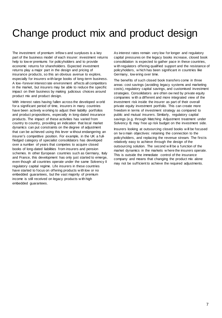### Change product mix and product design

The investment of premium inflow s and surpluses is a key part of the business model of each insurer: investment returns help to low er premiums for policyholders and to provide economic returns for shareholders. Expected investment returns play a major part in the design and pricing of insurance products, so this an obvious avenue to explore, especially for insurers w ith large books of long-term business. A low -forever interest rate environment affects all competitors in the market, but insurers may be able to reduce the specific impact on their business by making judicious choices around product mix and product design.

With interest rates having fallen across the developed w orld for a significant period of time, insurers in many countries have been actively w orking to adjust their liability portfolios and product propositions, especially in long-dated insurance products. The impact of these activities has varied from country to country, providing an indication that local market dynamics can put constraints on the degree of adjustment that can be achieved using this lever w ithout endangering an insurer's competitive position. For example, in the UK a fullfledged category of specialist consolidators has developed over a number of years that competes to acquire closed books of long-dated liabilities from insurers and pension schemes. In other European countries such as Germany, Italy and France, this development has only just started to emerge, even though all countries operate under the same Solvency II regulatory capital regime. Life insurers in these countries have started to focus on offering products w ith low or no embedded guarantees, but the vast majority of premium income is still received on legacy products w ith high embedded guarantees.

As interest rates remain very low for longer and regulatory capital pressures on the legacy books increase, closed book consolidation is expected to gather pace in these countries, w ith regulators offering qualified support and the resistance of policyholders, w hich has been significant in countries like Germany, low ering over time.

The benefits of such closed book transfers come in three areas: cost savings (avoiding legacy systems and marketing costs), regulatory capital savings, and customised investment strategies. Consolidators are often ow ned by private equity companies w ith a different and more integrated view of the investment risk inside the insurer as part of their overall private equity investment portfolio. This can create more freedom in terms of investment strategy as compared to public and mutual insurers. Similarly, regulatory capital savings (e.g. through Matching Adjustment treatment under Solvency II) may free up risk budget on the investment side.

Insurers looking at outsourcing closed books w ill be focused on tw o main objectives: retaining the connection to the policyholders, and replacing the revenue stream. The first is relatively easy to achieve through the design of the outsourcing solution. The second w ill be a function of the market dynamics in the markets w here the insurers operate. This is outside the immediate control of the insurance company and means that changing the product mix alone may not be sufficient to achieve the required adjustments.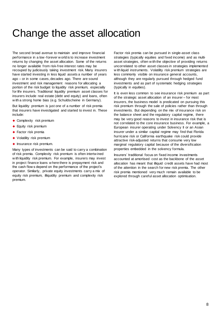### Change the asset allocation

The second broad avenue to maintain and improve financial performance in a low -forever w orld is to increase investment returns by changing the asset allocation. Some of the returns no longer available from risk-free interest rates may be recouped by judiciously taking investment risk. Many insurers have started investing in less liquid assets a number of years ago – or in some cases, decades ago. There are sound investment and risk management reasons for allocating a portion of the risk budget to liquidity risk premium, especially for life insurers. Traditional liquidity premium asset classes for insurers include real estate (debt and equity) and loans, often w ith a strong home bias (e.g. Schuldscheine in Germany).

But liquidity premium is just one of a number of risk premia that insurers have investigated and started to invest in. These include:

- ◆ Complexity risk premium
- ◆ Equity risk premium
- ◆ Factor risk premia
- ◆ Volatility risk premium
- $\bullet$  Insurance risk premium.

Many types of investments can be said to carry a combination of risk premia. Complexity risk premium is often intertw ined w ith liquidity risk premium. For example, insurers may invest in project finance loans w here there is prepayment risk and the cash flow s depend on the performance of the project's operator. Similarly, private equity investments carry a mix of equity risk premium, illiquidity premium and complexity risk premium.

Factor risk premia can be pursued in single-asset class strategies (typically equities and fixed income) and as multiasset strategies, often w ith the objective of providing returns uncorrelated to other asset classes in strategies implemented w ith liquid instruments. Volatility risk premium strategies are less commonly visible on insurance general accounts, although they are regularly pursued through hedged fund investments and as part of systematic hedging strategies (typically in equities).

It is even less common to see insurance risk premium as part of the strategic asset allocation of an insurer – for most insurers, the business model is predicated on pursuing this risk premium through the sale of policies rather than through investments. But depending on the mix of insurance risk on the balance sheet and the regulatory capital regime, there may be very good reasons to invest in insurance risk that is not correlated to the core insurance business. For example, a European insurer operating under Solvency II or an Asian insurer under a similar capital regime may find that Florida hurricane risk or California earthquake risk could provide attractive risk-adjusted returns that consume very low marginal regulatory capital because of the diversification properties embedded in the solvency formula.

Insurers' traditional focus on fixed income investments accounted at amortised cost as the backbone of the asset allocation has meant that illiquid credit assets have had most of the attention in the search for new risk premia. The other risk premia mentioned very much remain available to be explored through careful asset allocation optimisation.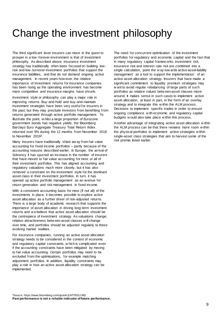## Change the investment philosophy

The third significant lever insurers can move in the quest to prosper in a low -forever environment is that of investment philosophy. As described above, insurance investment strategy has traditionally often been focused on building low risk and low -turnover investment portfolios that support the insurance liabilities, and that do not demand ongoing active management. In recent years how ever, the relative importance of investment returns for insurance companies has been rising as the operating environment has become more competitive and insurance margins have shrunk.

Investment style or philosophy can play a major role in improving returns. Buy-and-hold and buy-and-maintain investment strategies have been very useful for insurers in the past, but they may preclude investors from benefiting from returns generated through active portfolio management. To illustrate the point, w hilst a large proportion of Eurozone government bonds has negative yields, the Bloomberg Barclays Euro Aggregate Treasury Total Return Index returned over 9% during the 12 months from November 2018 to November 20192.

Many insurers have traditionally shied aw ay from fair value accounting for fixed income portfolios – partly because of the accounting reasons described earlier. In Europe, the arrival of Solvency II has spurred an increase in the number of insurers that have moved to fair value accounting for most or all of their investment portfolios. This has aligned accounting and regulatory valuations much more closely, but it has also removed a constraint on the investment style for the dominant asset class in their investment portfolios. In turn, it has opened up active portfolio management as an avenue for return generation and risk management in fixed income.

With a consistent accounting basis for most (if not all) of the investments in place, it becomes possible to explore active asset allocation as a further driver of risk-adjusted returns. There is a large body of academic research that supports the importance of asset allocation in driving long-term investment returns and w e believe that active asset allocation should be the centrepiece of investment strategy. As valuations change, relative attractiveness betw een asset classes w ill change over time, and portfolios should be adjusted regularly to these evolving market realities.

For insurance companies, running an active asset allocation strategy needs to be considered in the context of economic and regulatory capital constraints, w hich is complicated even if the accounting constraints have been mitigated by moving to fair value accounting. Certain portfolios may need to be excluded from the optimisations, for example matching adjustment portfolios. In addition, liquidity constraints may play a role in how an active asset allocation strategy can be implemented.

The need for concurrent optimisation of the investment portfolios for regulatory and economic capital and the fact that in many regulatory capital framew orks, investment risk, insurance risk and interest rate risk are combined into a single calculation, point the w ay tow ards active asset-liability management as a tool to support the implementation of an active asset allocation strategy. Insurers that have made a significant commitment to liquidity premium strategies may w ant to avoid regular rebalancing of large parts of such portfolios as relative values betw een asset classes move around. It makes sense in such cases to implement active asset allocation, at least in part, in the form of an overlay strategy and to integrate this w ithin the ALM process. Decisions to implement specific trades in order to ensure ongoing compliance w ith economic and regulatory capital budgets w ould also take place w ithin this process.

Another advantage of integrating active asset allocation w ithin the ALM process can be that there remains more room w ithin the physical portfolios to implement active strategies w ithin single-asset class strategies that aim to harvest some of the risk premia listed earlier.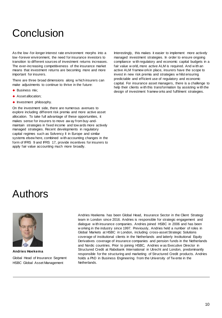# Conclusion

As the low -for-longer interest rate environment morphs into a low -forever environment, the need for insurance investors to transition to different sources of investment returns increases. The ever-increasing competitiveness of the insurance market means that investment returns are becoming more and more important for insurers.

There are three broad dimensions along w hich insurers can make adjustments to continue to thrive in the future:

- ◆ Business mix:
- ◆ Asset allocation;
- $\bullet$  Investment philosophy.

On the investment side, there are numerous avenues to explore including different risk premia and more active asset allocation. To take full advantage of these opportunities, it makes sense for insurers to move aw ay from buy-andmaintain strategies in fixed income and tow ards more actively managed strategies. Recent developments in regulatory capital regimes such as Solvency II in Europe and similar systems elsew here, combined w ith accounting changes in the form of IFRS 9 and IFRS 17, provide incentives for insurers to apply fair value accounting much more broadly.

Interestingly, this makes it easier to implement more actively managed investment strategies. In order to ensure ongoing compliance w ith regulatory and economic capital budgets in a fair value w orld, more active ALM is required. And w ith an active ALM framew ork in place, insurers have the scope to invest in new risk premia and strategies w hilst ensuring predictable and efficient use of regulatory and economic capital. For insurance asset managers, there is a challenge to help their clients w ith this transformation by assisting w ith the design of investment framew orks and fulfilment strategies.

#### Authors



**Andries Hoekema** Global Head of Insurance Segment HSBC Global Asset Management

Andries Hoekema has been Global Head, Insurance Sector in the Client Strategy team in London since 2016. Andries is responsible for strategic engagement and dialogue w ith insurance companies. Andries joined HSBC in 2006 and has been w orking in the industry since 1997. Previously, Andries held a number of roles in Global Markets at HSBC in London, including cross-asset Strategic Solutions coverage of institutional clients in the Netherlands and latterly Institutional Equity Derivatives coverage of insurance companies and pension funds in the Netherlands and Nordic countries. Prior to joining HSBC, Andries w as Executive Director in Structured Credit at Rabobank International in Utrecht and London, predominantly responsible for the structuring and marketing of Structured Credit products. Andries holds a PhD in Business Engineering from the University of Tw ente in the Netherlands.